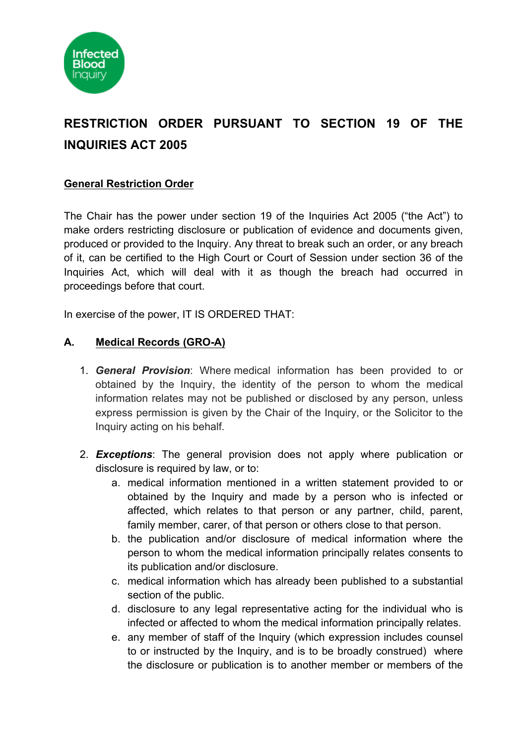

# **RESTRICTION ORDER PURSUANT TO SECTION 19 OF THE INQUIRIES ACT 2005**

## **General Restriction Order**

The Chair has the power under section 19 of the Inquiries Act 2005 ("the Act") to make orders restricting disclosure or publication of evidence and documents given, produced or provided to the Inquiry. Any threat to break such an order, or any breach of it, can be certified to the High Court or Court of Session under section 36 of the Inquiries Act, which will deal with it as though the breach had occurred in proceedings before that court.

In exercise of the power, IT IS ORDERED THAT:

### **A. Medical Records (GRO-A)**

- 1. *General Provision*: Where medical information has been provided to or obtained by the Inquiry, the identity of the person to whom the medical information relates may not be published or disclosed by any person, unless express permission is given by the Chair of the Inquiry, or the Solicitor to the Inquiry acting on his behalf.
- 2. *Exceptions*: The general provision does not apply where publication or disclosure is required by law, or to:
	- a. medical information mentioned in a written statement provided to or obtained by the Inquiry and made by a person who is infected or affected, which relates to that person or any partner, child, parent, family member, carer, of that person or others close to that person.
	- b. the publication and/or disclosure of medical information where the person to whom the medical information principally relates consents to its publication and/or disclosure.
	- c. medical information which has already been published to a substantial section of the public.
	- d. disclosure to any legal representative acting for the individual who is infected or affected to whom the medical information principally relates.
	- e. any member of staff of the Inquiry (which expression includes counsel to or instructed by the Inquiry, and is to be broadly construed) where the disclosure or publication is to another member or members of the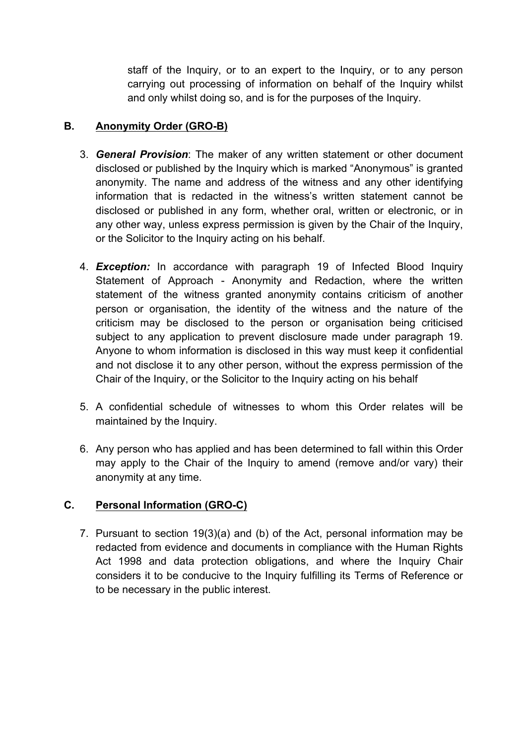staff of the Inquiry, or to an expert to the Inquiry, or to any person carrying out processing of information on behalf of the Inquiry whilst and only whilst doing so, and is for the purposes of the Inquiry.

## **B. Anonymity Order (GRO-B)**

- 3. *General Provision*: The maker of any written statement or other document disclosed or published by the Inquiry which is marked "Anonymous" is granted anonymity. The name and address of the witness and any other identifying information that is redacted in the witness's written statement cannot be disclosed or published in any form, whether oral, written or electronic, or in any other way, unless express permission is given by the Chair of the Inquiry, or the Solicitor to the Inquiry acting on his behalf.
- 4. *Exception:* In accordance with paragraph 19 of Infected Blood Inquiry Statement of Approach - Anonymity and Redaction, where the written statement of the witness granted anonymity contains criticism of another person or organisation, the identity of the witness and the nature of the criticism may be disclosed to the person or organisation being criticised subject to any application to prevent disclosure made under paragraph 19. Anyone to whom information is disclosed in this way must keep it confidential and not disclose it to any other person, without the express permission of the Chair of the Inquiry, or the Solicitor to the Inquiry acting on his behalf
- 5. A confidential schedule of witnesses to whom this Order relates will be maintained by the Inquiry.
- 6. Any person who has applied and has been determined to fall within this Order may apply to the Chair of the Inquiry to amend (remove and/or vary) their anonymity at any time.

# **C. Personal Information (GRO-C)**

7. Pursuant to section 19(3)(a) and (b) of the Act, personal information may be redacted from evidence and documents in compliance with the Human Rights Act 1998 and data protection obligations, and where the Inquiry Chair considers it to be conducive to the Inquiry fulfilling its Terms of Reference or to be necessary in the public interest.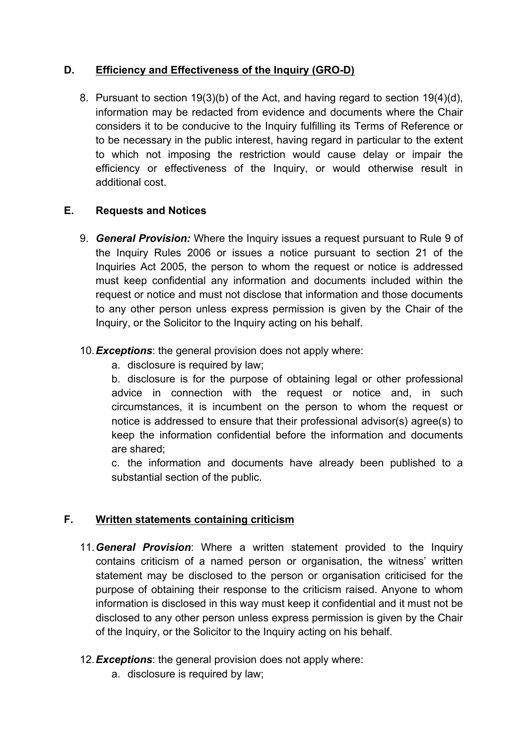## **D. Efficiency and Effectiveness of the Inquiry (GRO-D)**

8. Pursuant to section 19(3)(b) of the Act, and having regard to section 19(4)(d), information may be redacted from evidence and documents where the Chair considers it to be conducive to the Inquiry fulfilling its Terms of Reference or to be necessary in the public interest, having regard in particular to the extent to which not imposing the restriction would cause delay or impair the efficiency or effectiveness of the Inquiry, or would otherwise result in additional cost.

### **E. Requests and Notices**

9. *General Provision:* Where the Inquiry issues a request pursuant to Rule 9 of the Inquiry Rules 2006 or issues a notice pursuant to section 21 of the Inquiries Act 2005, the person to whom the request or notice is addressed must keep confidential any information and documents included within the request or notice and must not disclose that information and those documents to any other person unless express permission is given by the Chair of the Inquiry, or the Solicitor to the Inquiry acting on his behalf.

## 10.*Exceptions*: the general provision does not apply where:

a. disclosure is required by law;

b. disclosure is for the purpose of obtaining legal or other professional advice in connection with the request or notice and, in such circumstances, it is incumbent on the person to whom the request or notice is addressed to ensure that their professional advisor(s) agree(s) to keep the information confidential before the information and documents are shared;

c. the information and documents have already been published to a substantial section of the public.

# **F. Written statements containing criticism**

11.*General Provision*: Where a written statement provided to the Inquiry contains criticism of a named person or organisation, the witness' written statement may be disclosed to the person or organisation criticised for the purpose of obtaining their response to the criticism raised. Anyone to whom information is disclosed in this way must keep it confidential and it must not be disclosed to any other person unless express permission is given by the Chair of the Inquiry, or the Solicitor to the Inquiry acting on his behalf.

### 12.*Exceptions*: the general provision does not apply where:

a. disclosure is required by law;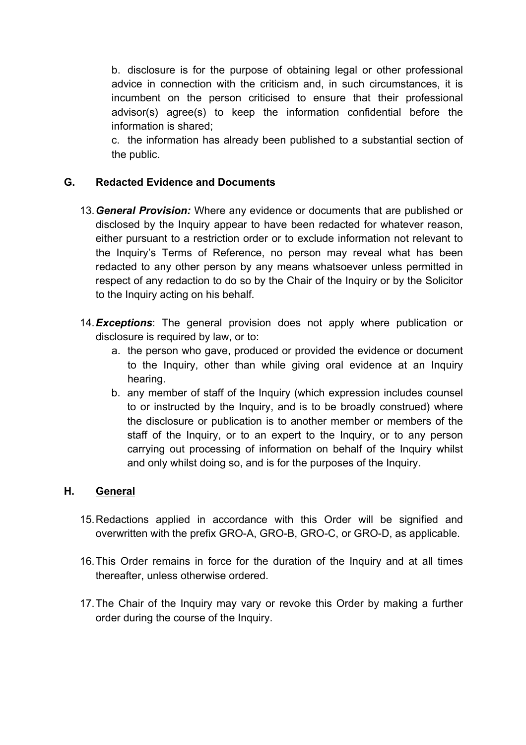b. disclosure is for the purpose of obtaining legal or other professional advice in connection with the criticism and, in such circumstances, it is incumbent on the person criticised to ensure that their professional advisor(s) agree(s) to keep the information confidential before the information is shared;

c. the information has already been published to a substantial section of the public.

## **G. Redacted Evidence and Documents**

- 13.*General Provision:* Where any evidence or documents that are published or disclosed by the Inquiry appear to have been redacted for whatever reason, either pursuant to a restriction order or to exclude information not relevant to the Inquiry's Terms of Reference, no person may reveal what has been redacted to any other person by any means whatsoever unless permitted in respect of any redaction to do so by the Chair of the Inquiry or by the Solicitor to the Inquiry acting on his behalf.
- 14.*Exceptions*: The general provision does not apply where publication or disclosure is required by law, or to:
	- a. the person who gave, produced or provided the evidence or document to the Inquiry, other than while giving oral evidence at an Inquiry hearing.
	- b. any member of staff of the Inquiry (which expression includes counsel to or instructed by the Inquiry, and is to be broadly construed) where the disclosure or publication is to another member or members of the staff of the Inquiry, or to an expert to the Inquiry, or to any person carrying out processing of information on behalf of the Inquiry whilst and only whilst doing so, and is for the purposes of the Inquiry.

### **H. General**

- 15.Redactions applied in accordance with this Order will be signified and overwritten with the prefix GRO-A, GRO-B, GRO-C, or GRO-D, as applicable.
- 16.This Order remains in force for the duration of the Inquiry and at all times thereafter, unless otherwise ordered.
- 17.The Chair of the Inquiry may vary or revoke this Order by making a further order during the course of the Inquiry.